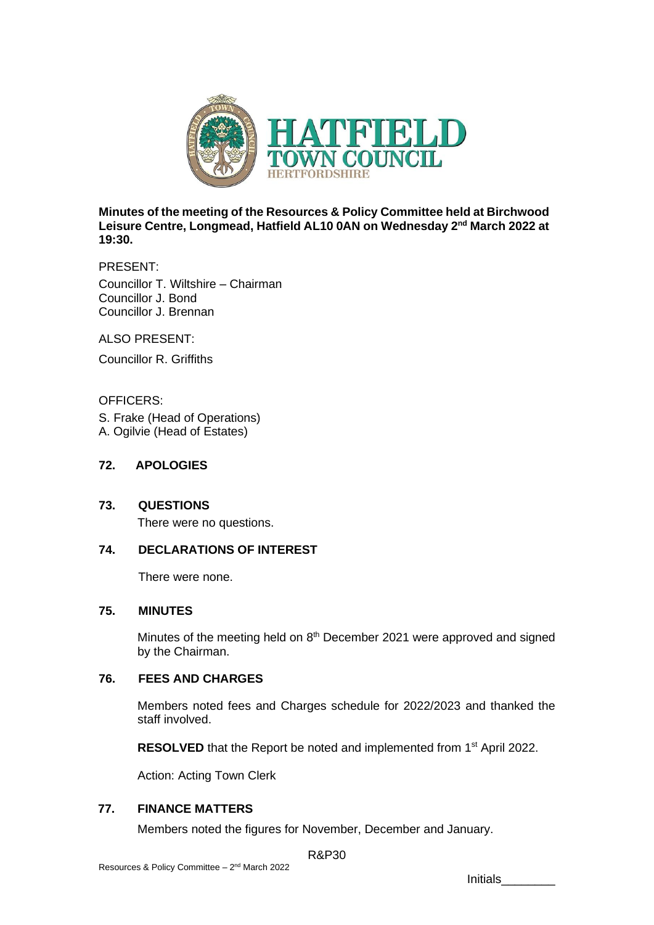

**Minutes of the meeting of the Resources & Policy Committee held at Birchwood**  Leisure Centre, Longmead, Hatfield AL10 0AN on Wednesday 2<sup>nd</sup> March 2022 at **19:30.**

PRESENT: Councillor T. Wiltshire – Chairman Councillor J. Bond Councillor J. Brennan

ALSO PRESENT:

Councillor R. Griffiths

### OFFICERS:

S. Frake (Head of Operations) A. Ogilvie (Head of Estates)

### **72. APOLOGIES**

**73. QUESTIONS**

There were no questions.

### **74. DECLARATIONS OF INTEREST**

There were none.

# **75. MINUTES**

Minutes of the meeting held on 8<sup>th</sup> December 2021 were approved and signed by the Chairman.

# **76. FEES AND CHARGES**

Members noted fees and Charges schedule for 2022/2023 and thanked the staff involved.

**RESOLVED** that the Report be noted and implemented from 1<sup>st</sup> April 2022.

Action: Acting Town Clerk

### **77. FINANCE MATTERS**

Members noted the figures for November, December and January.

R&P30

Initials\_\_\_\_\_\_\_\_\_